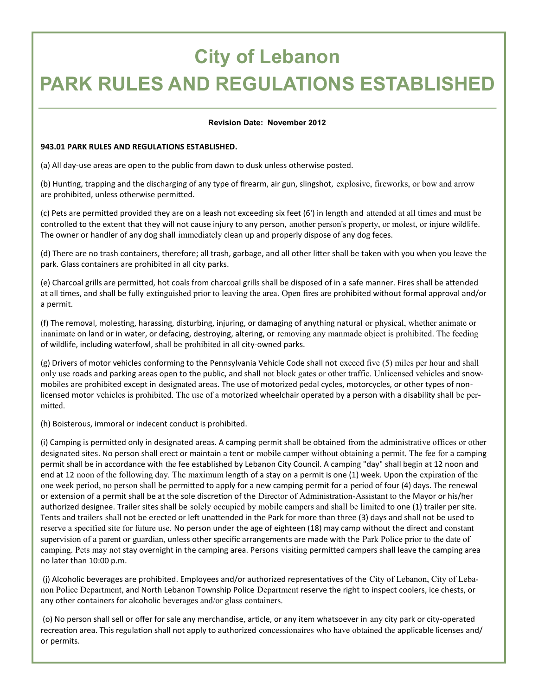## **City of Lebanon**

### **PARK RULES AND REGULATIONS ESTABLISHED**

#### **Revision Date: November 2012**

#### **943.01 PARK RULES AND REGULATIONS ESTABLISHED.**

(a) All day-use areas are open to the public from dawn to dusk unless otherwise posted.

(b) Hunting, trapping and the discharging of any type of firearm, air gun, slingshot, explosive, fireworks, or bow and arrow are prohibited, unless otherwise permitted.

(c) Pets are permitted provided they are on a leash not exceeding six feet (6') in length and attended at all times and must be controlled to the extent that they will not cause injury to any person, another person's property, or molest, or injure wildlife. The owner or handler of any dog shall immediately clean up and properly dispose of any dog feces.

(d) There are no trash containers, therefore; all trash, garbage, and all other litter shall be taken with you when you leave the park. Glass containers are prohibited in all city parks.

(e) Charcoal grills are permitted, hot coals from charcoal grills shall be disposed of in a safe manner. Fires shall be attended at all times, and shall be fully extinguished prior to leaving the area. Open fires are prohibited without formal approval and/or a permit.

(f) The removal, molesting, harassing, disturbing, injuring, or damaging of anything natural or physical, whether animate or inanimate on land or in water, or defacing, destroying, altering, or removing any manmade object is prohibited. The feeding of wildlife, including waterfowl, shall be prohibited in all city-owned parks.

(g) Drivers of motor vehicles conforming to the Pennsylvania Vehicle Code shall not exceed five (5) miles per hour and shall only use roads and parking areas open to the public, and shall not block gates or other traffic. Unlicensed vehicles and snowmobiles are prohibited except in designated areas. The use of motorized pedal cycles, motorcycles, or other types of nonlicensed motor vehicles is prohibited. The use of a motorized wheelchair operated by a person with a disability shall be permitted.

(h) Boisterous, immoral or indecent conduct is prohibited.

(i) Camping is permitted only in designated areas. A camping permit shall be obtained from the administrative offices or other designated sites. No person shall erect or maintain a tent or mobile camper without obtaining a permit. The fee for a camping permit shall be in accordance with the fee established by Lebanon City Council. A camping "day" shall begin at 12 noon and end at 12 noon of the following day. The maximum length of a stay on a permit is one (1) week. Upon the expiration of the one week period, no person shall be permitted to apply for a new camping permit for a period of four (4) days. The renewal or extension of a permit shall be at the sole discretion of the Director of Administration-Assistant to the Mayor or his/her authorized designee. Trailer sites shall be solely occupied by mobile campers and shall be limited to one (1) trailer per site. Tents and trailers shall not be erected or left unattended in the Park for more than three (3) days and shall not be used to reserve a specified site for future use. No person under the age of eighteen (18) may camp without the direct and constant supervision of a parent or guardian, unless other specific arrangements are made with the Park Police prior to the date of camping. Pets may not stay overnight in the camping area. Persons visiting permitted campers shall leave the camping area no later than 10:00 p.m.

(j) Alcoholic beverages are prohibited. Employees and/or authorized representatives of the City of Lebanon, City of Lebanon Police Department, and North Lebanon Township Police Department reserve the right to inspect coolers, ice chests, or any other containers for alcoholic beverages and/or glass containers.

(o) No person shall sell or offer for sale any merchandise, article, or any item whatsoever in any city park or city-operated recreation area. This regulation shall not apply to authorized concessionaires who have obtained the applicable licenses and/ or permits.